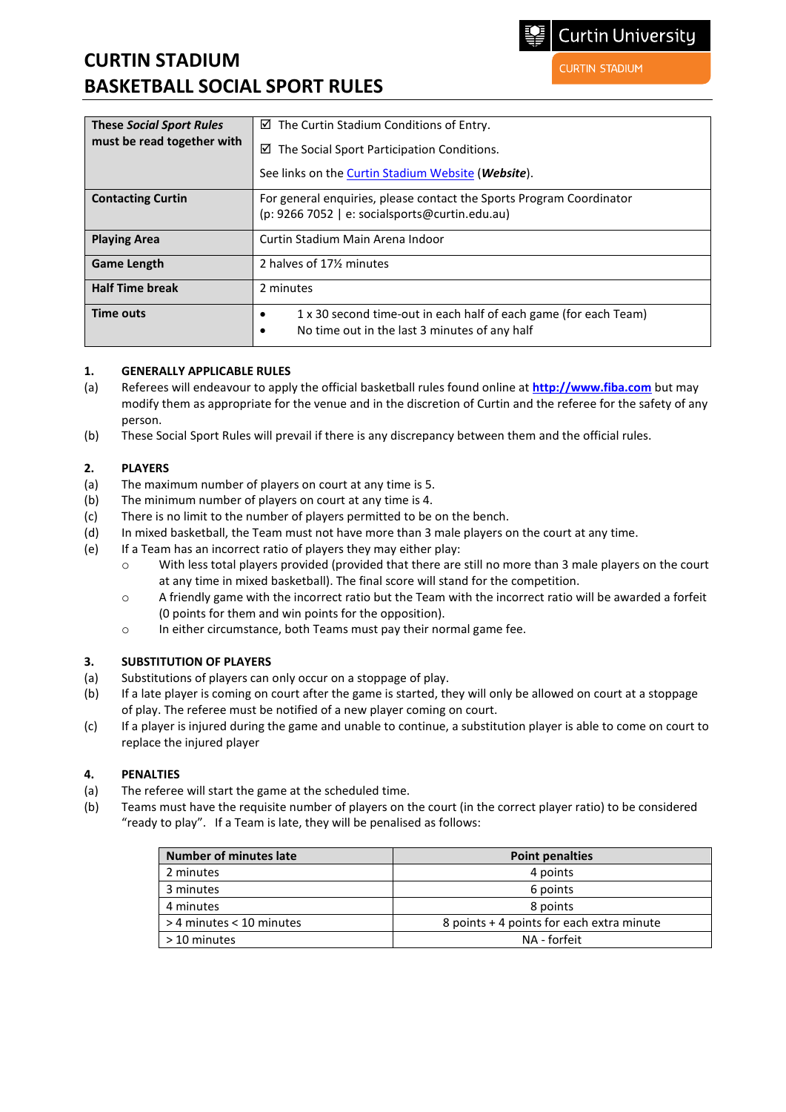# **CURTIN STADIUM BASKETBALL SOCIAL SPORT RULES**

| <b>These Social Sport Rules</b><br>must be read together with | $\boxtimes$ The Curtin Stadium Conditions of Entry.                                                                    |
|---------------------------------------------------------------|------------------------------------------------------------------------------------------------------------------------|
|                                                               | The Social Sport Participation Conditions.<br>☑                                                                        |
|                                                               | See links on the Curtin Stadium Website (Website).                                                                     |
| <b>Contacting Curtin</b>                                      | For general enquiries, please contact the Sports Program Coordinator<br>(p: 9266 7052   e: socialsports@curtin.edu.au) |
| <b>Playing Area</b>                                           | Curtin Stadium Main Arena Indoor                                                                                       |
| <b>Game Length</b>                                            | 2 halves of 171/2 minutes                                                                                              |
| <b>Half Time break</b>                                        | 2 minutes                                                                                                              |

#### **1. GENERALLY APPLICABLE RULES**

(a) Referees will endeavour to apply the official basketball rules found online at **[http://www.fiba.com](http://www.fiba.com/)** but may modify them as appropriate for the venue and in the discretion of Curtin and the referee for the safety of any person.

• No time out in the last 3 minutes of any half

(b) These Social Sport Rules will prevail if there is any discrepancy between them and the official rules.

**Time outs • 1** x 30 second time-out in each half of each game (for each Team)

#### **2. PLAYERS**

- (a) The maximum number of players on court at any time is 5.
- (b) The minimum number of players on court at any time is 4.
- (c) There is no limit to the number of players permitted to be on the bench.
- (d) In mixed basketball, the Team must not have more than 3 male players on the court at any time.
- (e) If a Team has an incorrect ratio of players they may either play:
	- o With less total players provided (provided that there are still no more than 3 male players on the court at any time in mixed basketball). The final score will stand for the competition.
	- $\circ$  A friendly game with the incorrect ratio but the Team with the incorrect ratio will be awarded a forfeit (0 points for them and win points for the opposition).
	- o In either circumstance, both Teams must pay their normal game fee.

#### **3. SUBSTITUTION OF PLAYERS**

- (a) Substitutions of players can only occur on a stoppage of play.
- (b) If a late player is coming on court after the game is started, they will only be allowed on court at a stoppage of play. The referee must be notified of a new player coming on court.
- (c) If a player is injured during the game and unable to continue, a substitution player is able to come on court to replace the injured player

#### **4. PENALTIES**

- (a) The referee will start the game at the scheduled time.
- (b) Teams must have the requisite number of players on the court (in the correct player ratio) to be considered "ready to play". If a Team is late, they will be penalised as follows:

| <b>Number of minutes late</b> | <b>Point penalties</b>                    |
|-------------------------------|-------------------------------------------|
| 2 minutes                     | 4 points                                  |
| 3 minutes                     | 6 points                                  |
| 4 minutes                     | 8 points                                  |
| > 4 minutes < 10 minutes      | 8 points + 4 points for each extra minute |
| > 10 minutes                  | NA - forfeit                              |

**Curtin University** 

**CURTIN STADIUM**